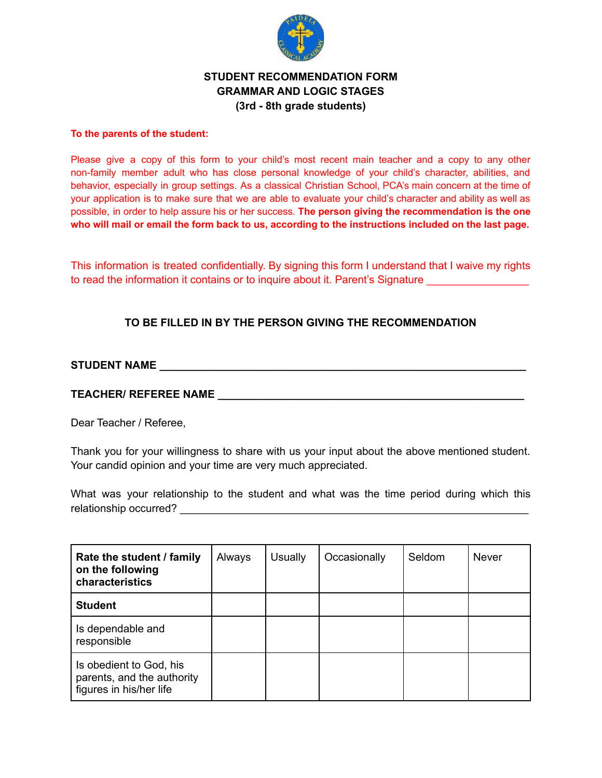

## **STUDENT RECOMMENDATION FORM GRAMMAR AND LOGIC STAGES (3rd - 8th grade students)**

#### **To the parents of the student:**

Please give a copy of this form to your child's most recent main teacher and a copy to any other non-family member adult who has close personal knowledge of your child's character, abilities, and behavior, especially in group settings. As a classical Christian School, PCA's main concern at the time of your application is to make sure that we are able to evaluate your child's character and ability as well as possible, in order to help assure his or her success. **The person giving the recommendation is the one** who will mail or email the form back to us, according to the instructions included on the last page.

This information is treated confidentially. By signing this form I understand that I waive my rights to read the information it contains or to inquire about it. Parent's Signature

# **TO BE FILLED IN BY THE PERSON GIVING THE RECOMMENDATION**

# **STUDENT NAME \_\_\_\_\_\_\_\_\_\_\_\_\_\_\_\_\_\_\_\_\_\_\_\_\_\_\_\_\_\_\_\_\_\_\_\_\_\_\_\_\_\_\_\_\_\_\_\_\_\_\_\_\_\_\_\_\_\_\_\_\_**

### **TEACHER/ REFEREE NAME \_\_\_\_\_\_\_\_\_\_\_\_\_\_\_\_\_\_\_\_\_\_\_\_\_\_\_\_\_\_\_\_\_\_\_\_\_\_\_\_\_\_\_\_\_\_\_\_\_\_\_**

Dear Teacher / Referee,

Thank you for your willingness to share with us your input about the above mentioned student. Your candid opinion and your time are very much appreciated.

What was your relationship to the student and what was the time period during which this relationship occurred?  $\blacksquare$ 

| Rate the student / family<br>on the following<br>characteristics                 | Always | <b>Usually</b> | Occasionally | Seldom | <b>Never</b> |
|----------------------------------------------------------------------------------|--------|----------------|--------------|--------|--------------|
| <b>Student</b>                                                                   |        |                |              |        |              |
| Is dependable and<br>responsible                                                 |        |                |              |        |              |
| Is obedient to God, his<br>parents, and the authority<br>figures in his/her life |        |                |              |        |              |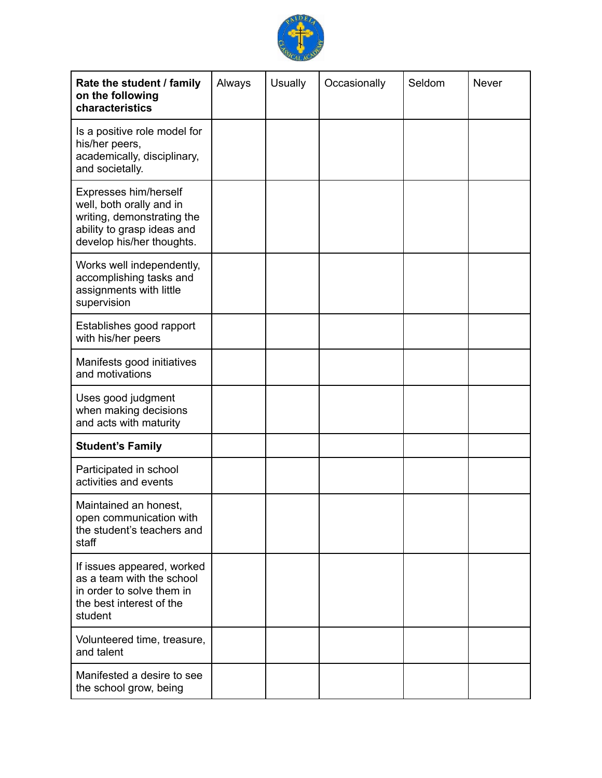

| Rate the student / family<br>on the following<br>characteristics                                                                           | Always | <b>Usually</b> | Occasionally | Seldom | <b>Never</b> |
|--------------------------------------------------------------------------------------------------------------------------------------------|--------|----------------|--------------|--------|--------------|
| Is a positive role model for<br>his/her peers,<br>academically, disciplinary,<br>and societally.                                           |        |                |              |        |              |
| Expresses him/herself<br>well, both orally and in<br>writing, demonstrating the<br>ability to grasp ideas and<br>develop his/her thoughts. |        |                |              |        |              |
| Works well independently,<br>accomplishing tasks and<br>assignments with little<br>supervision                                             |        |                |              |        |              |
| Establishes good rapport<br>with his/her peers                                                                                             |        |                |              |        |              |
| Manifests good initiatives<br>and motivations                                                                                              |        |                |              |        |              |
| Uses good judgment<br>when making decisions<br>and acts with maturity                                                                      |        |                |              |        |              |
| <b>Student's Family</b>                                                                                                                    |        |                |              |        |              |
| Participated in school<br>activities and events                                                                                            |        |                |              |        |              |
| Maintained an honest,<br>open communication with<br>the student's teachers and<br>staff                                                    |        |                |              |        |              |
| If issues appeared, worked<br>as a team with the school<br>in order to solve them in<br>the best interest of the<br>student                |        |                |              |        |              |
| Volunteered time, treasure,<br>and talent                                                                                                  |        |                |              |        |              |
| Manifested a desire to see<br>the school grow, being                                                                                       |        |                |              |        |              |